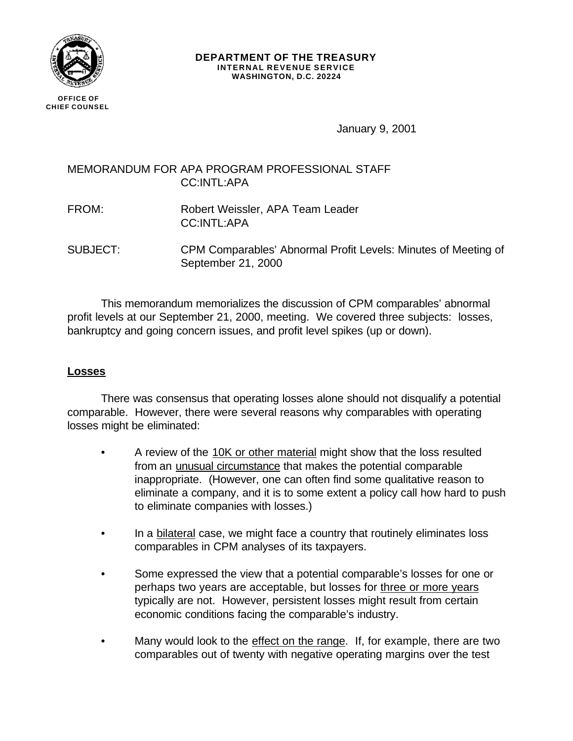

#### **DEPARTMENT OF THE TREASURY INTERNAL REVENUE SERVICE WASHINGTON, D.C. 20224**

January 9, 2001

# MEMORANDUM FOR APA PROGRAM PROFESSIONAL STAFF CC:INTL:APA

- FROM: Robert Weissler, APA Team Leader CC:INTL:APA
- SUBJECT: CPM Comparables' Abnormal Profit Levels: Minutes of Meeting of September 21, 2000

This memorandum memorializes the discussion of CPM comparables' abnormal profit levels at our September 21, 2000, meeting. We covered three subjects: losses, bankruptcy and going concern issues, and profit level spikes (up or down).

## **Losses**

There was consensus that operating losses alone should not disqualify a potential comparable. However, there were several reasons why comparables with operating losses might be eliminated:

- A review of the 10K or other material might show that the loss resulted from an unusual circumstance that makes the potential comparable inappropriate. (However, one can often find some qualitative reason to eliminate a company, and it is to some extent a policy call how hard to push to eliminate companies with losses.)
- In a bilateral case, we might face a country that routinely eliminates loss comparables in CPM analyses of its taxpayers.
- Some expressed the view that a potential comparable's losses for one or perhaps two years are acceptable, but losses for three or more years typically are not. However, persistent losses might result from certain economic conditions facing the comparable's industry.
- Many would look to the effect on the range. If, for example, there are two comparables out of twenty with negative operating margins over the test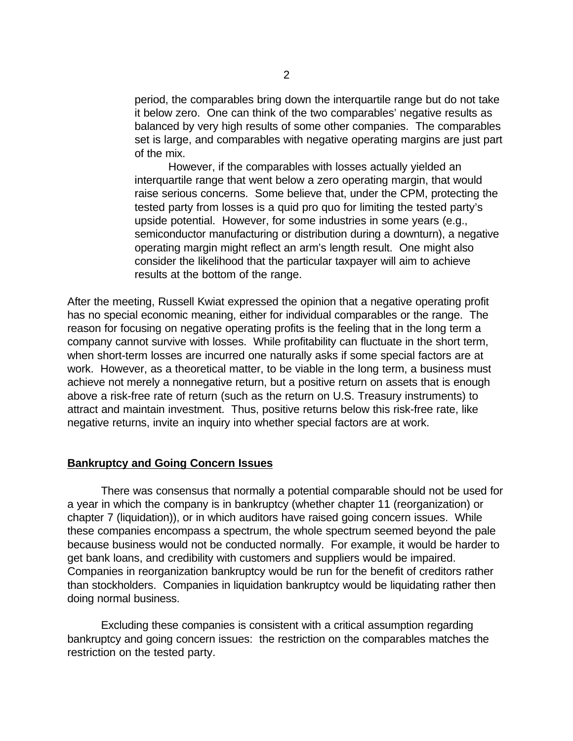period, the comparables bring down the interquartile range but do not take it below zero. One can think of the two comparables' negative results as balanced by very high results of some other companies. The comparables set is large, and comparables with negative operating margins are just part of the mix.

However, if the comparables with losses actually yielded an interquartile range that went below a zero operating margin, that would raise serious concerns. Some believe that, under the CPM, protecting the tested party from losses is a quid pro quo for limiting the tested party's upside potential. However, for some industries in some years (e.g., semiconductor manufacturing or distribution during a downturn), a negative operating margin might reflect an arm's length result. One might also consider the likelihood that the particular taxpayer will aim to achieve results at the bottom of the range.

After the meeting, Russell Kwiat expressed the opinion that a negative operating profit has no special economic meaning, either for individual comparables or the range. The reason for focusing on negative operating profits is the feeling that in the long term a company cannot survive with losses. While profitability can fluctuate in the short term, when short-term losses are incurred one naturally asks if some special factors are at work. However, as a theoretical matter, to be viable in the long term, a business must achieve not merely a nonnegative return, but a positive return on assets that is enough above a risk-free rate of return (such as the return on U.S. Treasury instruments) to attract and maintain investment. Thus, positive returns below this risk-free rate, like negative returns, invite an inquiry into whether special factors are at work.

### **Bankruptcy and Going Concern Issues**

There was consensus that normally a potential comparable should not be used for a year in which the company is in bankruptcy (whether chapter 11 (reorganization) or chapter 7 (liquidation)), or in which auditors have raised going concern issues. While these companies encompass a spectrum, the whole spectrum seemed beyond the pale because business would not be conducted normally. For example, it would be harder to get bank loans, and credibility with customers and suppliers would be impaired. Companies in reorganization bankruptcy would be run for the benefit of creditors rather than stockholders. Companies in liquidation bankruptcy would be liquidating rather then doing normal business.

Excluding these companies is consistent with a critical assumption regarding bankruptcy and going concern issues: the restriction on the comparables matches the restriction on the tested party.